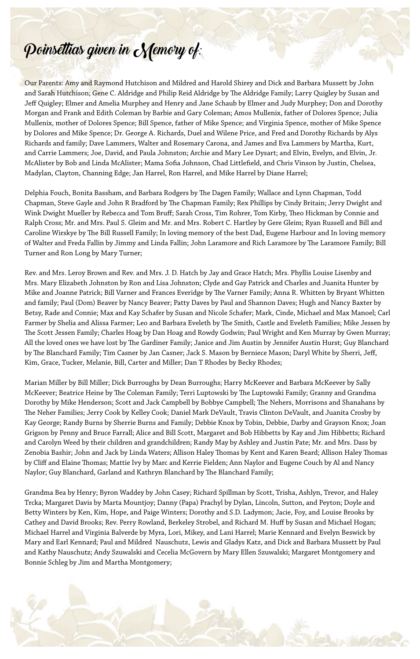## Poinsettias given in Memory of:

Our Parents: Amy and Raymond Hutchison and Mildred and Harold Shirey and Dick and Barbara Mussett by John and Sarah Hutchison; Gene C. Aldridge and Philip Reid Aldridge by The Aldridge Family; Larry Quigley by Susan and Jeff Quigley; Elmer and Amelia Murphey and Henry and Jane Schaub by Elmer and Judy Murphey; Don and Dorothy Morgan and Frank and Edith Coleman by Barbie and Gary Coleman; Amos Mullenix, father of Dolores Spence; Julia Mullenix, mother of Dolores Spence; Bill Spence, father of Mike Spence; and Virginia Spence, mother of Mike Spence by Dolores and Mike Spence; Dr. George A. Richards, Duel and Wilene Price, and Fred and Dorothy Richards by Alys Richards and family; Dave Lammers, Walter and Rosemary Carona, and James and Eva Lammers by Martha, Kurt, and Carrie Lammers; Joe, David, and Paula Johnston; Archie and Mary Lee Dysart; and Elvin, Evelyn, and Elvin, Jr. McAlister by Bob and Linda McAlister; Mama Sofia Johnson, Chad Littlefield, and Chris Vinson by Justin, Chelsea, Madylan, Clayton, Channing Edge; Jan Harrel, Ron Harrel, and Mike Harrel by Diane Harrel;

Delphia Fouch, Bonita Bassham, and Barbara Rodgers by The Dagen Family; Wallace and Lynn Chapman, Todd Chapman, Steve Gayle and John R Bradford by The Chapman Family; Rex Phillips by Cindy Britain; Jerry Dwight and Wink Dwight Mueller by Rebecca and Tom Bruff; Sarah Cross, Tim Rohrer, Tom Kirby, Theo Hickman by Connie and Ralph Cross; Mr. and Mrs. Paul S. Gleim and Mr. and Mrs. Robert C. Hartley by Gere Gleim; Ryan Russell and Bill and Caroline Wirskye by The Bill Russell Family; In loving memory of the best Dad, Eugene Harbour and In loving memory of Walter and Freda Fallin by Jimmy and Linda Fallin; John Laramore and Rich Laramore by The Laramore Family; Bill Turner and Ron Long by Mary Turner;

Rev. and Mrs. Leroy Brown and Rev. and Mrs. J. D. Hatch by Jay and Grace Hatch; Mrs. Phyllis Louise Lisenby and Mrs. Mary Elizabeth Johnston by Ron and Lisa Johnston; Clyde and Gay Patrick and Charles and Juanita Hunter by Mike and Joanne Patrick; Bill Varner and Frances Everidge by The Varner Family; Anna R. Whitten by Bryant Whitten and family; Paul (Dom) Beaver by Nancy Beaver; Patty Daves by Paul and Shannon Daves; Hugh and Nancy Baxter by Betsy, Rade and Connie; Max and Kay Schafer by Susan and Nicole Schafer; Mark, Cinde, Michael and Max Manoel; Carl Farmer by Shelia and Alissa Farmer; Leo and Barbara Eveleth by The Smith, Castle and Eveleth Families; Mike Jessen by The Scott Jessen Family; Charles Hoag by Dan Hoag and Rowdy Godwin; Paul Wright and Ken Murray by Gwen Murray; All the loved ones we have lost by The Gardiner Family; Janice and Jim Austin by Jennifer Austin Hurst; Guy Blanchard by The Blanchard Family; Tim Casner by Jan Casner; Jack S. Mason by Berniece Mason; Daryl White by Sherri, Jeff, Kim, Grace, Tucker, Melanie, Bill, Carter and Miller; Dan T Rhodes by Becky Rhodes;

Marian Miller by Bill Miller; Dick Burroughs by Dean Burroughs; Harry McKeever and Barbara McKeever by Sally McKeever; Beatrice Heine by The Coleman Family; Terri Luptowski by The Luptowski Family; Granny and Grandma Dorothy by Mike Henderson; Scott and Jack Campbell by Bobbye Campbell; The Nehers, Morrisons and Shanahans by The Neher Families; Jerry Cook by Kelley Cook; Daniel Mark DeVault, Travis Clinton DeVault, and Juanita Crosby by Kay George; Randy Burns by Sherrie Burns and Family; Debbie Knox by Tobin, Debbie, Darby and Grayson Knox; Joan Grigson by Penny and Bruce Farrall; Alice and Bill Scott, Margaret and Bob Hibbetts by Kay and Jim Hibbetts; Richard and Carolyn Weed by their children and grandchildren; Randy May by Ashley and Justin Pate; Mr. and Mrs. Dass by Zenobia Bashir; John and Jack by Linda Waters; Allison Haley Thomas by Kent and Karen Beard; Allison Haley Thomas by Cliff and Elaine Thomas; Mattie Ivy by Marc and Kerrie Fielden; Ann Naylor and Eugene Couch by Al and Nancy Naylor; Guy Blanchard, Garland and Kathryn Blanchard by The Blanchard Family;

Grandma Bea by Henry; Byron Waddey by John Casey; Richard Spillman by Scott, Trisha, Ashlyn, Trevor, and Haley Trcka; Margaret Davis by Marta Mountjoy; Danny (Papa) Prachyl by Dylan, Lincoln, Sutton, and Peyton; Doyle and Betty Winters by Ken, Kim, Hope, and Paige Winters; Dorothy and S.D. Ladymon; Jacie, Foy, and Louise Brooks by Cathey and David Brooks; Rev. Perry Rowland, Berkeley Strobel, and Richard M. Huff by Susan and Michael Hogan; Michael Harrel and Virginia Balverde by Myra, Lori, Mikey, and Lani Harrel; Marie Kennard and Evelyn Beswick by Mary and Earl Kennard; Paul and Mildred Nauschutz, Lewis and Gladys Katz, and Dick and Barbara Mussett by Paul and Kathy Nauschutz; Andy Szuwalski and Cecelia McGovern by Mary Ellen Szuwalski; Margaret Montgomery and Bonnie Schleg by Jim and Martha Montgomery;